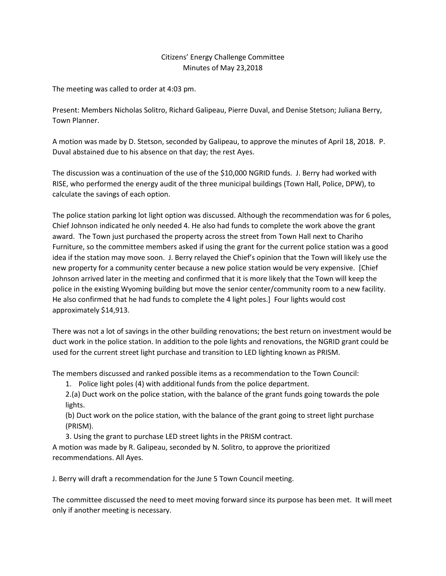## Citizens' Energy Challenge Committee Minutes of May 23,2018

The meeting was called to order at 4:03 pm.

Present: Members Nicholas Solitro, Richard Galipeau, Pierre Duval, and Denise Stetson; Juliana Berry, Town Planner.

A motion was made by D. Stetson, seconded by Galipeau, to approve the minutes of April 18, 2018. P. Duval abstained due to his absence on that day; the rest Ayes.

The discussion was a continuation of the use of the \$10,000 NGRID funds. J. Berry had worked with RISE, who performed the energy audit of the three municipal buildings (Town Hall, Police, DPW), to calculate the savings of each option.

The police station parking lot light option was discussed. Although the recommendation was for 6 poles, Chief Johnson indicated he only needed 4. He also had funds to complete the work above the grant award. The Town just purchased the property across the street from Town Hall next to Chariho Furniture, so the committee members asked if using the grant for the current police station was a good idea if the station may move soon. J. Berry relayed the Chief's opinion that the Town will likely use the new property for a community center because a new police station would be very expensive. [Chief Johnson arrived later in the meeting and confirmed that it is more likely that the Town will keep the police in the existing Wyoming building but move the senior center/community room to a new facility. He also confirmed that he had funds to complete the 4 light poles.] Four lights would cost approximately \$14,913.

There was not a lot of savings in the other building renovations; the best return on investment would be duct work in the police station. In addition to the pole lights and renovations, the NGRID grant could be used for the current street light purchase and transition to LED lighting known as PRISM.

The members discussed and ranked possible items as a recommendation to the Town Council:

1. Police light poles (4) with additional funds from the police department.

2.(a) Duct work on the police station, with the balance of the grant funds going towards the pole lights.

(b) Duct work on the police station, with the balance of the grant going to street light purchase (PRISM).

3. Using the grant to purchase LED street lights in the PRISM contract.

A motion was made by R. Galipeau, seconded by N. Solitro, to approve the prioritized recommendations. All Ayes.

J. Berry will draft a recommendation for the June 5 Town Council meeting.

The committee discussed the need to meet moving forward since its purpose has been met. It will meet only if another meeting is necessary.